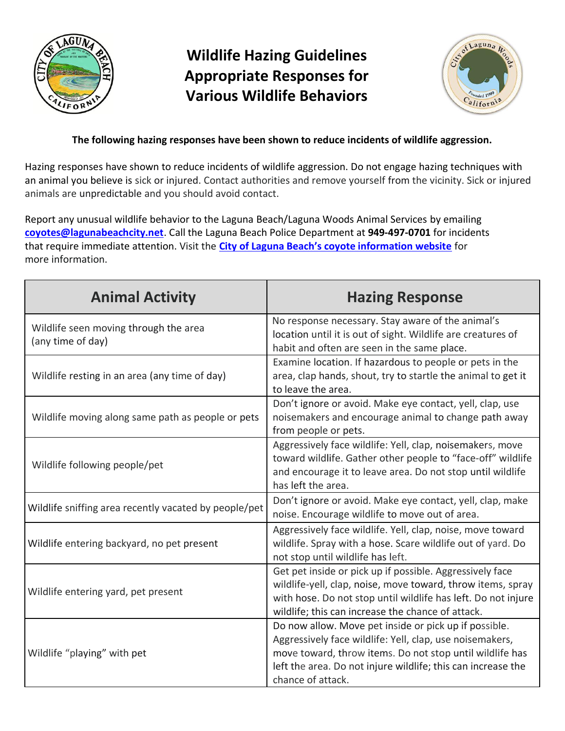

## **Wildlife Hazing Guidelines Appropriate Responses for Various Wildlife Behaviors**



## **The following hazing responses have been shown to reduce incidents of wildlife aggression.**

Hazing responses have shown to reduce incidents of wildlife aggression. Do not engage hazing techniques with an animal you believe is sick or injured. Contact authorities and remove yourself from the vicinity. Sick or injured animals are unpredictable and you should avoid contact.

Report any unusual wildlife behavior to the Laguna Beach/Laguna Woods Animal Services by emailing **[coyotes@lagunabeachcity.net](mailto:coyotes@lagunabeachcity.net)**. Call the Laguna Beach Police Department at **949-497-0701** for incidents that require immediate attention. Visit the **[City of Laguna Beach's coyote information website](https://www.lagunabeachcity.net/cityhall/police/animal_services/coyote_information/default.htm)** for more information.

| <b>Animal Activity</b>                                     | <b>Hazing Response</b>                                                                                                                                                                                                                                             |
|------------------------------------------------------------|--------------------------------------------------------------------------------------------------------------------------------------------------------------------------------------------------------------------------------------------------------------------|
| Wildlife seen moving through the area<br>(any time of day) | No response necessary. Stay aware of the animal's<br>location until it is out of sight. Wildlife are creatures of<br>habit and often are seen in the same place.                                                                                                   |
| Wildlife resting in an area (any time of day)              | Examine location. If hazardous to people or pets in the<br>area, clap hands, shout, try to startle the animal to get it<br>to leave the area.                                                                                                                      |
| Wildlife moving along same path as people or pets          | Don't ignore or avoid. Make eye contact, yell, clap, use<br>noisemakers and encourage animal to change path away<br>from people or pets.                                                                                                                           |
| Wildlife following people/pet                              | Aggressively face wildlife: Yell, clap, noisemakers, move<br>toward wildlife. Gather other people to "face-off" wildlife<br>and encourage it to leave area. Do not stop until wildlife<br>has left the area.                                                       |
| Wildlife sniffing area recently vacated by people/pet      | Don't ignore or avoid. Make eye contact, yell, clap, make<br>noise. Encourage wildlife to move out of area.                                                                                                                                                        |
| Wildlife entering backyard, no pet present                 | Aggressively face wildlife. Yell, clap, noise, move toward<br>wildlife. Spray with a hose. Scare wildlife out of yard. Do<br>not stop until wildlife has left.                                                                                                     |
| Wildlife entering yard, pet present                        | Get pet inside or pick up if possible. Aggressively face<br>wildlife-yell, clap, noise, move toward, throw items, spray<br>with hose. Do not stop until wildlife has left. Do not injure<br>wildlife; this can increase the chance of attack.                      |
| Wildlife "playing" with pet                                | Do now allow. Move pet inside or pick up if possible.<br>Aggressively face wildlife: Yell, clap, use noisemakers,<br>move toward, throw items. Do not stop until wildlife has<br>left the area. Do not injure wildlife; this can increase the<br>chance of attack. |